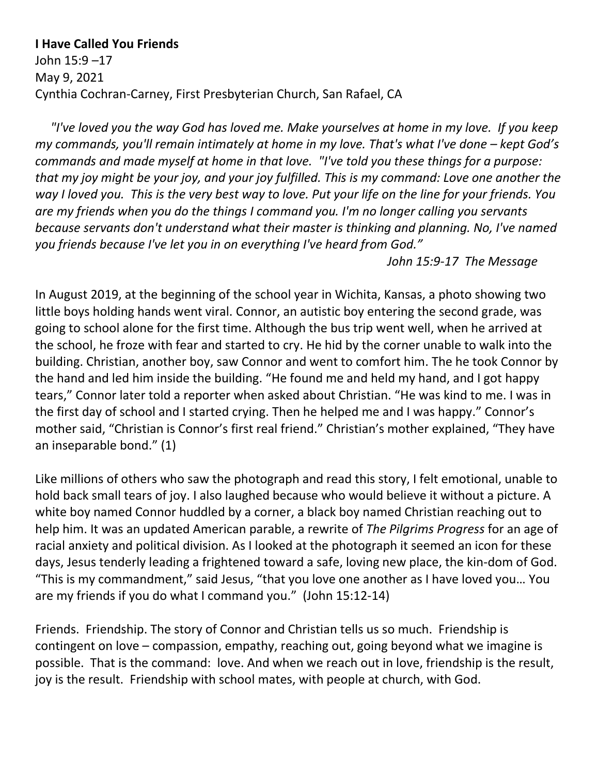## **I Have Called You Friends**

John 15:9 –17 May 9, 2021 Cynthia Cochran-Carney, First Presbyterian Church, San Rafael, CA

 *"I've loved you the way God has loved me. Make yourselves at home in my love. If you keep my commands, you'll remain intimately at home in my love. That's what I've done – kept God's commands and made myself at home in that love. "I've told you these things for a purpose: that my joy might be your joy, and your joy fulfilled. This is my command: Love one another the way I loved you. This is the very best way to love. Put your life on the line for your friends. You are my friends when you do the things I command you. I'm no longer calling you servants because servants don't understand what their master is thinking and planning. No, I've named you friends because I've let you in on everything I've heard from God."*

*John 15:9-17 The Message*

In August 2019, at the beginning of the school year in Wichita, Kansas, a photo showing two little boys holding hands went viral. Connor, an autistic boy entering the second grade, was going to school alone for the first time. Although the bus trip went well, when he arrived at the school, he froze with fear and started to cry. He hid by the corner unable to walk into the building. Christian, another boy, saw Connor and went to comfort him. The he took Connor by the hand and led him inside the building. "He found me and held my hand, and I got happy tears," Connor later told a reporter when asked about Christian. "He was kind to me. I was in the first day of school and I started crying. Then he helped me and I was happy." Connor's mother said, "Christian is Connor's first real friend." Christian's mother explained, "They have an inseparable bond." (1)

Like millions of others who saw the photograph and read this story, I felt emotional, unable to hold back small tears of joy. I also laughed because who would believe it without a picture. A white boy named Connor huddled by a corner, a black boy named Christian reaching out to help him. It was an updated American parable, a rewrite of *The Pilgrims Progress* for an age of racial anxiety and political division. As I looked at the photograph it seemed an icon for these days, Jesus tenderly leading a frightened toward a safe, loving new place, the kin-dom of God. "This is my commandment," said Jesus, "that you love one another as I have loved you… You are my friends if you do what I command you." (John 15:12-14)

Friends. Friendship. The story of Connor and Christian tells us so much. Friendship is contingent on love – compassion, empathy, reaching out, going beyond what we imagine is possible. That is the command: love. And when we reach out in love, friendship is the result, joy is the result. Friendship with school mates, with people at church, with God.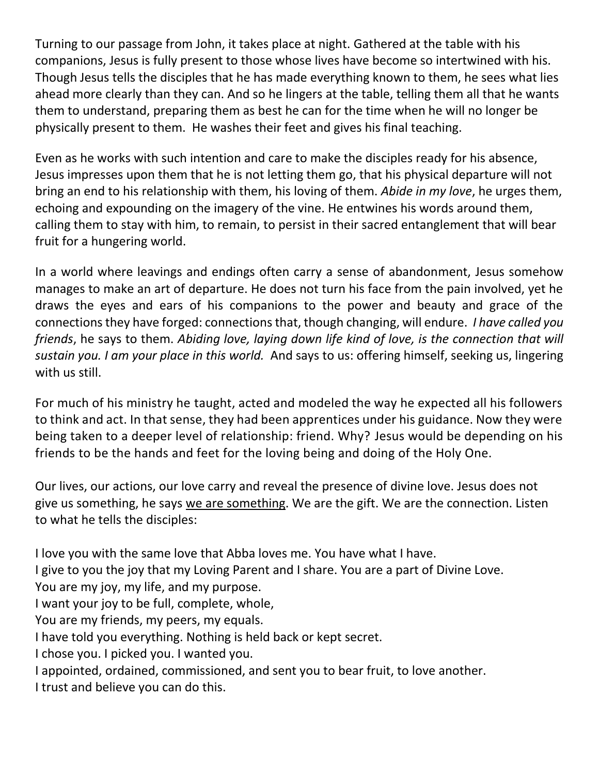Turning to our passage from John, it takes place at night. Gathered at the table with his companions, Jesus is fully present to those whose lives have become so intertwined with his. Though Jesus tells the disciples that he has made everything known to them, he sees what lies ahead more clearly than they can. And so he lingers at the table, telling them all that he wants them to understand, preparing them as best he can for the time when he will no longer be physically present to them. He washes their feet and gives his final teaching.

Even as he works with such intention and care to make the disciples ready for his absence, Jesus impresses upon them that he is not letting them go, that his physical departure will not bring an end to his relationship with them, his loving of them. *Abide in my love*, he urges them, echoing and expounding on the imagery of the vine. He entwines his words around them, calling them to stay with him, to remain, to persist in their sacred entanglement that will bear fruit for a hungering world.

In a world where leavings and endings often carry a sense of abandonment, Jesus somehow manages to make an art of departure. He does not turn his face from the pain involved, yet he draws the eyes and ears of his companions to the power and beauty and grace of the connections they have forged: connections that, though changing, will endure. *I have called you friends*, he says to them. *Abiding love, laying down life kind of love, is the connection that will sustain you. I am your place in this world.* And says to us: offering himself, seeking us, lingering with us still.

For much of his ministry he taught, acted and modeled the way he expected all his followers to think and act. In that sense, they had been apprentices under his guidance. Now they were being taken to a deeper level of relationship: friend. Why? Jesus would be depending on his friends to be the hands and feet for the loving being and doing of the Holy One.

Our lives, our actions, our love carry and reveal the presence of divine love. Jesus does not give us something, he says we are something. We are the gift. We are the connection. Listen to what he tells the disciples:

I love you with the same love that Abba loves me. You have what I have.

I give to you the joy that my Loving Parent and I share. You are a part of Divine Love.

You are my joy, my life, and my purpose.

I want your joy to be full, complete, whole,

You are my friends, my peers, my equals.

I have told you everything. Nothing is held back or kept secret.

I chose you. I picked you. I wanted you.

I appointed, ordained, commissioned, and sent you to bear fruit, to love another.

I trust and believe you can do this.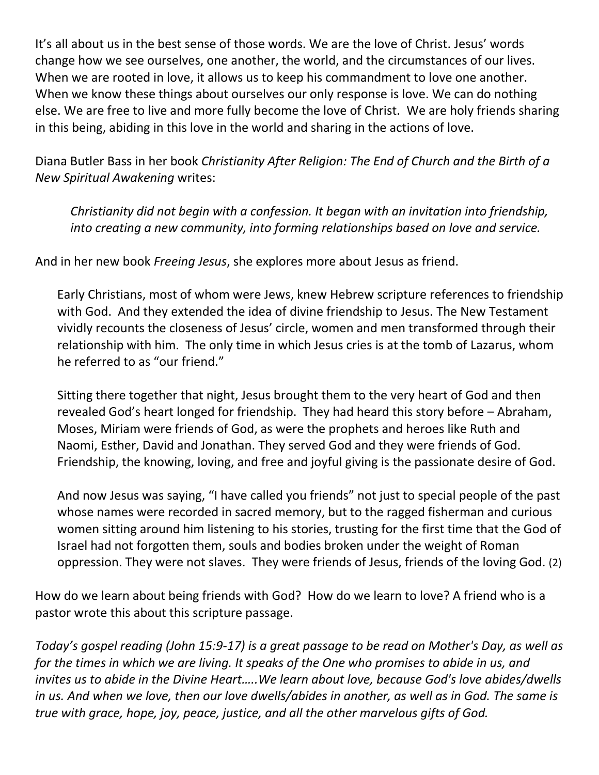It's all about us in the best sense of those words. We are the love of Christ. Jesus' words change how we see ourselves, one another, the world, and the circumstances of our lives. When we are rooted in love, it allows us to keep his commandment to love one another. When we know these things about ourselves our only response is love. We can do nothing else. We are free to live and more fully become the love of Christ. We are holy friends sharing in this being, abiding in this love in the world and sharing in the actions of love.

Diana Butler Bass in her book *Christianity After Religion: The End of Church and the Birth of a New Spiritual Awakening* writes:

*Christianity did not begin with a confession. It began with an invitation into friendship, into creating a new community, into forming relationships based on love and service.*

And in her new book *Freeing Jesus*, she explores more about Jesus as friend.

Early Christians, most of whom were Jews, knew Hebrew scripture references to friendship with God. And they extended the idea of divine friendship to Jesus. The New Testament vividly recounts the closeness of Jesus' circle, women and men transformed through their relationship with him. The only time in which Jesus cries is at the tomb of Lazarus, whom he referred to as "our friend."

Sitting there together that night, Jesus brought them to the very heart of God and then revealed God's heart longed for friendship. They had heard this story before – Abraham, Moses, Miriam were friends of God, as were the prophets and heroes like Ruth and Naomi, Esther, David and Jonathan. They served God and they were friends of God. Friendship, the knowing, loving, and free and joyful giving is the passionate desire of God.

And now Jesus was saying, "I have called you friends" not just to special people of the past whose names were recorded in sacred memory, but to the ragged fisherman and curious women sitting around him listening to his stories, trusting for the first time that the God of Israel had not forgotten them, souls and bodies broken under the weight of Roman oppression. They were not slaves. They were friends of Jesus, friends of the loving God. (2)

How do we learn about being friends with God? How do we learn to love? A friend who is a pastor wrote this about this scripture passage.

*Today's gospel reading (John 15:9-17) is a great passage to be read on Mother's Day, as well as for the times in which we are living. It speaks of the One who promises to abide in us, and invites us to abide in the Divine Heart…..We learn about love, because God's love abides/dwells in us. And when we love, then our love dwells/abides in another, as well as in God. The same is true with grace, hope, joy, peace, justice, and all the other marvelous gifts of God.*